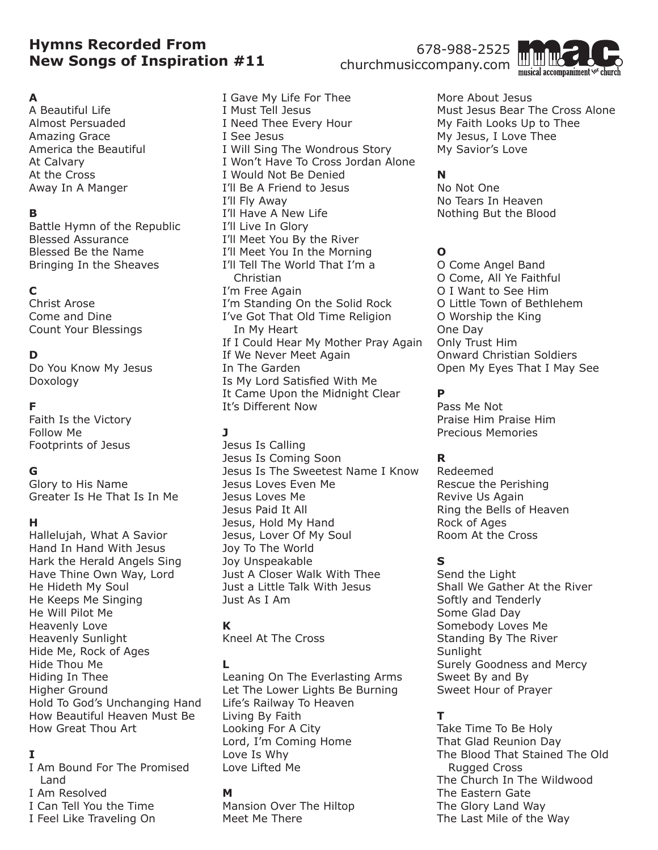# **Hymns Recorded From New Songs of Inspiration #11**

#### **A**

A Beautiful Life Almost Persuaded Amazing Grace America the Beautiful At Calvary At the Cross Away In A Manger

#### **B**

Battle Hymn of the Republic Blessed Assurance Blessed Be the Name Bringing In the Sheaves

## **C**

Christ Arose Come and Dine Count Your Blessings

### **D**

Do You Know My Jesus Doxology

### **F**

Faith Is the Victory Follow Me Footprints of Jesus

### **G**

Glory to His Name Greater Is He That Is In Me

#### **H**

Hallelujah, What A Savior Hand In Hand With Jesus Hark the Herald Angels Sing Have Thine Own Way, Lord He Hideth My Soul He Keeps Me Singing He Will Pilot Me Heavenly Love Heavenly Sunlight Hide Me, Rock of Ages Hide Thou Me Hiding In Thee Higher Ground Hold To God's Unchanging Hand How Beautiful Heaven Must Be How Great Thou Art

### **I**

- I Am Bound For The Promised Land
- I Am Resolved I Can Tell You the Time
- I Feel Like Traveling On

I Gave My Life For Thee I Must Tell Jesus I Need Thee Every Hour I See Jesus I Will Sing The Wondrous Story I Won't Have To Cross Jordan Alone I Would Not Be Denied I'll Be A Friend to Jesus I'll Fly Away I'll Have A New Life I'll Live In Glory I'll Meet You By the River I'll Meet You In the Morning I'll Tell The World That I'm a Christian I'm Free Again I'm Standing On the Solid Rock I've Got That Old Time Religion In My Heart If I Could Hear My Mother Pray Again If We Never Meet Again In The Garden Is My Lord Satisfied With Me It Came Upon the Midnight Clear It's Different Now

### **J**

Jesus Is Calling Jesus Is Coming Soon Jesus Is The Sweetest Name I Know Jesus Loves Even Me Jesus Loves Me Jesus Paid It All Jesus, Hold My Hand Jesus, Lover Of My Soul Joy To The World Joy Unspeakable Just A Closer Walk With Thee Just a Little Talk With Jesus Just As I Am

#### **K**

Kneel At The Cross

#### **L**

Leaning On The Everlasting Arms Let The Lower Lights Be Burning Life's Railway To Heaven Living By Faith Looking For A City Lord, I'm Coming Home Love Is Why Love Lifted Me

#### **M**

Mansion Over The Hiltop Meet Me There

More About Jesus Must Jesus Bear The Cross Alone My Faith Looks Up to Thee My Jesus, I Love Thee My Savior's Love

## **N**

No Not One No Tears In Heaven Nothing But the Blood

### **O**

O Come Angel Band O Come, All Ye Faithful O I Want to See Him O Little Town of Bethlehem O Worship the King One Day Only Trust Him Onward Christian Soldiers Open My Eyes That I May See

### **P**

Pass Me Not Praise Him Praise Him Precious Memories

### **R**

Redeemed Rescue the Perishing Revive Us Again Ring the Bells of Heaven Rock of Ages Room At the Cross

### **S**

Send the Light Shall We Gather At the River Softly and Tenderly Some Glad Day Somebody Loves Me Standing By The River **Sunlight** Surely Goodness and Mercy Sweet By and By Sweet Hour of Prayer

### **T**

Take Time To Be Holy That Glad Reunion Day The Blood That Stained The Old Rugged Cross The Church In The Wildwood The Eastern Gate The Glory Land Way The Last Mile of the Way